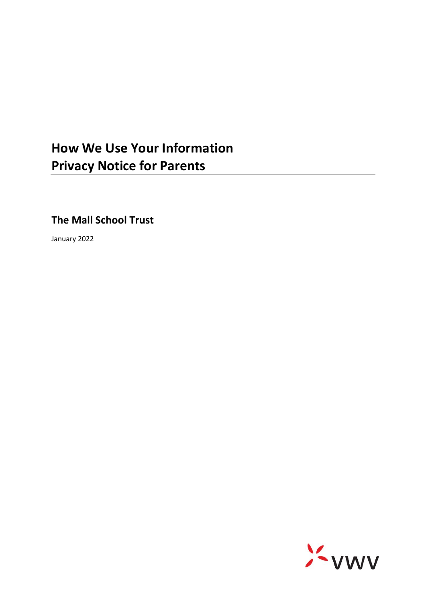# **How We Use Your Information Privacy Notice for Parents**

**The Mall School Trust**

January 2022

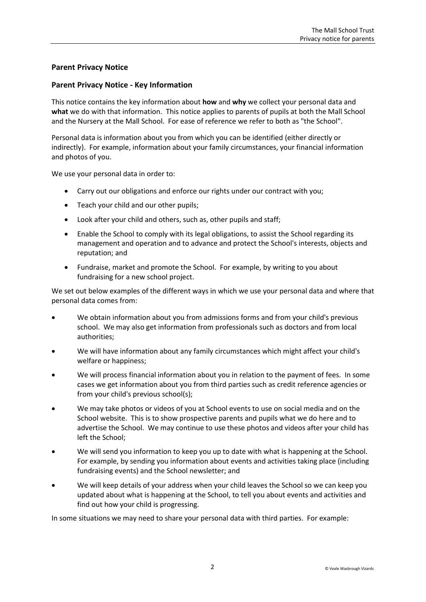# **Parent Privacy Notice**

## **Parent Privacy Notice - Key Information**

This notice contains the key information about **how** and **why** we collect your personal data and **what** we do with that information. This notice applies to parents of pupils at both the Mall School and the Nursery at the Mall School. For ease of reference we refer to both as "the School".

Personal data is information about you from which you can be identified (either directly or indirectly). For example, information about your family circumstances, your financial information and photos of you.

We use your personal data in order to:

- Carry out our obligations and enforce our rights under our contract with you;
- Teach your child and our other pupils;
- Look after your child and others, such as, other pupils and staff;
- Enable the School to comply with its legal obligations, to assist the School regarding its management and operation and to advance and protect the School's interests, objects and reputation; and
- Fundraise, market and promote the School. For example, by writing to you about fundraising for a new school project.

We set out below examples of the different ways in which we use your personal data and where that personal data comes from:

- We obtain information about you from admissions forms and from your child's previous school. We may also get information from professionals such as doctors and from local authorities;
- We will have information about any family circumstances which might affect your child's welfare or happiness;
- We will process financial information about you in relation to the payment of fees. In some cases we get information about you from third parties such as credit reference agencies or from your child's previous school(s);
- We may take photos or videos of you at School events to use on social media and on the School website. This is to show prospective parents and pupils what we do here and to advertise the School. We may continue to use these photos and videos after your child has left the School;
- We will send you information to keep you up to date with what is happening at the School. For example, by sending you information about events and activities taking place (including fundraising events) and the School newsletter; and
- We will keep details of your address when your child leaves the School so we can keep you updated about what is happening at the School, to tell you about events and activities and find out how your child is progressing.

In some situations we may need to share your personal data with third parties. For example: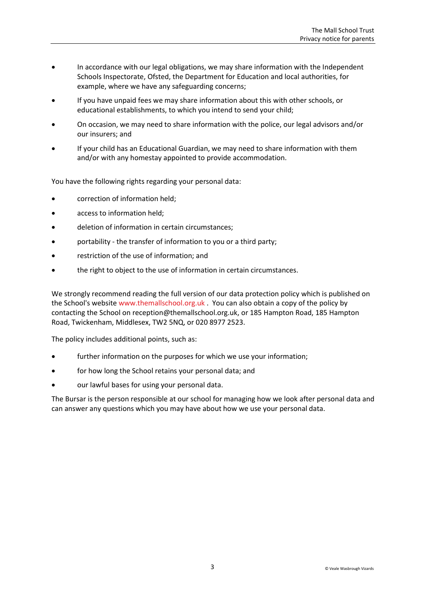- In accordance with our legal obligations, we may share information with the Independent Schools Inspectorate, Ofsted, the Department for Education and local authorities, for example, where we have any safeguarding concerns;
- If you have unpaid fees we may share information about this with other schools, or educational establishments, to which you intend to send your child;
- On occasion, we may need to share information with the police, our legal advisors and/or our insurers; and
- If your child has an Educational Guardian, we may need to share information with them and/or with any homestay appointed to provide accommodation.

You have the following rights regarding your personal data:

- correction of information held;
- access to information held;
- deletion of information in certain circumstances;
- portability the transfer of information to you or a third party;
- restriction of the use of information; and
- the right to object to the use of information in certain circumstances.

We strongly recommend reading the full version of our data protection policy which is published on the School's website [www.themallschool.org.uk](http://www.themallschool.org.uk/) . You can also obtain a copy of the policy by contacting the School on [reception@themallschool.org.uk,](mailto:reception@themallschool.org.uk) or 185 Hampton Road, 185 Hampton Road, Twickenham, Middlesex, TW2 5NQ, or 020 8977 2523.

The policy includes additional points, such as:

- further information on the purposes for which we use your information;
- for how long the School retains your personal data; and
- our lawful bases for using your personal data.

The Bursar is the person responsible at our school for managing how we look after personal data and can answer any questions which you may have about how we use your personal data.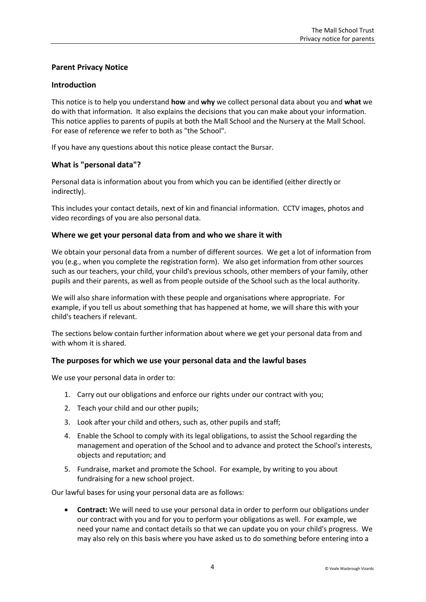# **Parent Privacy Notice**

## **Introduction**

This notice is to help you understand **how** and **why** we collect personal data about you and **what** we do with that information. It also explains the decisions that you can make about your information. This notice applies to parents of pupils at both the Mall School and the Nursery at the Mall School. For ease of reference we refer to both as "the School".

If you have any questions about this notice please contact the Bursar.

# **What is "personal data"?**

Personal data is information about you from which you can be identified (either directly or indirectly).

This includes your contact details, next of kin and financial information. CCTV images, photos and video recordings of you are also personal data.

## **Where we get your personal data from and who we share it with**

We obtain your personal data from a number of different sources. We get a lot of information from you (e.g., when you complete the registration form). We also get information from other sources such as our teachers, your child, your child's previous schools, other members of your family, other pupils and their parents, as well as from people outside of the School such as the local authority.

We will also share information with these people and organisations where appropriate. For example, if you tell us about something that has happened at home, we will share this with your child's teachers if relevant.

The sections below contain further information about where we get your personal data from and with whom it is shared.

# **The purposes for which we use your personal data and the lawful bases**

We use your personal data in order to:

- 1. Carry out our obligations and enforce our rights under our contract with you;
- 2. Teach your child and our other pupils;
- 3. Look after your child and others, such as, other pupils and staff;
- 4. Enable the School to comply with its legal obligations, to assist the School regarding the management and operation of the School and to advance and protect the School's interests, objects and reputation; and
- 5. Fundraise, market and promote the School. For example, by writing to you about fundraising for a new school project.

Our lawful bases for using your personal data are as follows:

 **Contract:** We will need to use your personal data in order to perform our obligations under our contract with you and for you to perform your obligations as well. For example, we need your name and contact details so that we can update you on your child's progress. We may also rely on this basis where you have asked us to do something before entering into a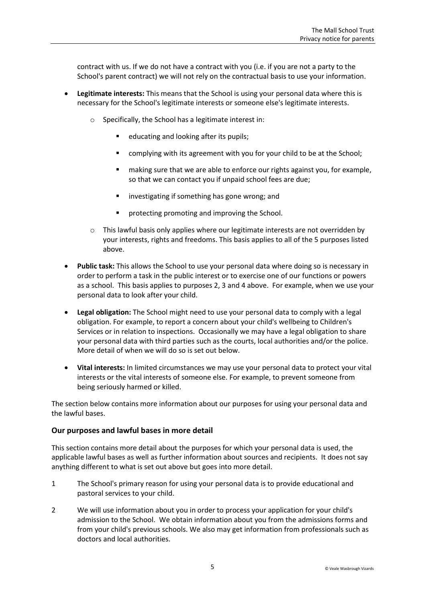contract with us. If we do not have a contract with you (i.e. if you are not a party to the School's parent contract) we will not rely on the contractual basis to use your information.

- **Legitimate interests:** This means that the School is using your personal data where this is necessary for the School's legitimate interests or someone else's legitimate interests.
	- o Specifically, the School has a legitimate interest in:
		- educating and looking after its pupils;
		- **E** complying with its agreement with you for your child to be at the School;
		- making sure that we are able to enforce our rights against you, for example, so that we can contact you if unpaid school fees are due;
		- **EXECT** investigating if something has gone wrong; and
		- protecting promoting and improving the School.
	- o This lawful basis only applies where our legitimate interests are not overridden by your interests, rights and freedoms. This basis applies to all of the 5 purposes listed above.
- **Public task:** This allows the School to use your personal data where doing so is necessary in order to perform a task in the public interest or to exercise one of our functions or powers as a school. This basis applies to purposes 2, 3 and 4 above. For example, when we use your personal data to look after your child.
- **Legal obligation:** The School might need to use your personal data to comply with a legal obligation. For example, to report a concern about your child's wellbeing to Children's Services or in relation to inspections. Occasionally we may have a legal obligation to share your personal data with third parties such as the courts, local authorities and/or the police. More detail of when we will do so is set out below.
- **Vital interests:** In limited circumstances we may use your personal data to protect your vital interests or the vital interests of someone else. For example, to prevent someone from being seriously harmed or killed.

The section below contains more information about our purposes for using your personal data and the lawful bases.

#### **Our purposes and lawful bases in more detail**

This section contains more detail about the purposes for which your personal data is used, the applicable lawful bases as well as further information about sources and recipients. It does not say anything different to what is set out above but goes into more detail.

- 1 The School's primary reason for using your personal data is to provide educational and pastoral services to your child.
- 2 We will use information about you in order to process your application for your child's admission to the School. We obtain information about you from the admissions forms and from your child's previous schools. We also may get information from professionals such as doctors and local authorities.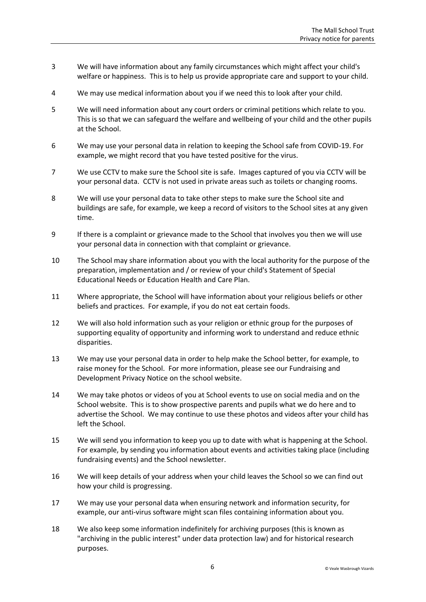- 3 We will have information about any family circumstances which might affect your child's welfare or happiness. This is to help us provide appropriate care and support to your child.
- 4 We may use medical information about you if we need this to look after your child.
- 5 We will need information about any court orders or criminal petitions which relate to you. This is so that we can safeguard the welfare and wellbeing of your child and the other pupils at the School.
- 6 We may use your personal data in relation to keeping the School safe from COVID-19. For example, we might record that you have tested positive for the virus.
- 7 We use CCTV to make sure the School site is safe. Images captured of you via CCTV will be your personal data. CCTV is not used in private areas such as toilets or changing rooms.
- 8 We will use your personal data to take other steps to make sure the School site and buildings are safe, for example, we keep a record of visitors to the School sites at any given time.
- 9 If there is a complaint or grievance made to the School that involves you then we will use your personal data in connection with that complaint or grievance.
- 10 The School may share information about you with the local authority for the purpose of the preparation, implementation and / or review of your child's Statement of Special Educational Needs or Education Health and Care Plan.
- 11 Where appropriate, the School will have information about your religious beliefs or other beliefs and practices. For example, if you do not eat certain foods.
- 12 We will also hold information such as your religion or ethnic group for the purposes of supporting equality of opportunity and informing work to understand and reduce ethnic disparities.
- 13 We may use your personal data in order to help make the School better, for example, to raise money for the School. For more information, please see our Fundraising and Development Privacy Notice on the school website.
- 14 We may take photos or videos of you at School events to use on social media and on the School website. This is to show prospective parents and pupils what we do here and to advertise the School. We may continue to use these photos and videos after your child has left the School.
- 15 We will send you information to keep you up to date with what is happening at the School. For example, by sending you information about events and activities taking place (including fundraising events) and the School newsletter.
- 16 We will keep details of your address when your child leaves the School so we can find out how your child is progressing.
- 17 We may use your personal data when ensuring network and information security, for example, our anti-virus software might scan files containing information about you.
- 18 We also keep some information indefinitely for archiving purposes (this is known as "archiving in the public interest" under data protection law) and for historical research purposes.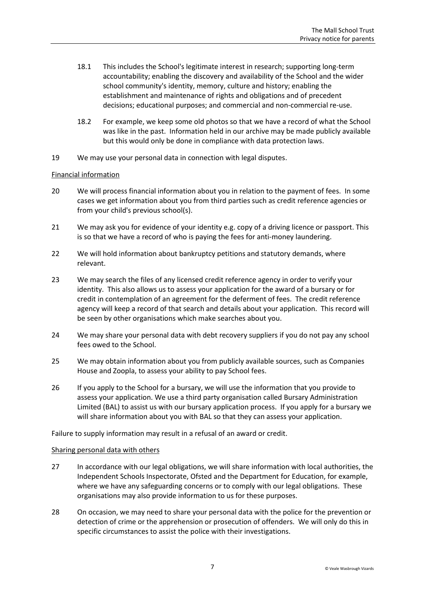- 18.1 This includes the School's legitimate interest in research; supporting long-term accountability; enabling the discovery and availability of the School and the wider school community's identity, memory, culture and history; enabling the establishment and maintenance of rights and obligations and of precedent decisions; educational purposes; and commercial and non-commercial re-use.
- 18.2 For example, we keep some old photos so that we have a record of what the School was like in the past. Information held in our archive may be made publicly available but this would only be done in compliance with data protection laws.
- 19 We may use your personal data in connection with legal disputes.

## Financial information

- 20 We will process financial information about you in relation to the payment of fees. In some cases we get information about you from third parties such as credit reference agencies or from your child's previous school(s).
- 21 We may ask you for evidence of your identity e.g. copy of a driving licence or passport. This is so that we have a record of who is paying the fees for anti-money laundering.
- 22 We will hold information about bankruptcy petitions and statutory demands, where relevant.
- 23 We may search the files of any licensed credit reference agency in order to verify your identity. This also allows us to assess your application for the award of a bursary or for credit in contemplation of an agreement for the deferment of fees. The credit reference agency will keep a record of that search and details about your application. This record will be seen by other organisations which make searches about you.
- 24 We may share your personal data with debt recovery suppliers if you do not pay any school fees owed to the School.
- 25 We may obtain information about you from publicly available sources, such as Companies House and Zoopla, to assess your ability to pay School fees.
- 26 If you apply to the School for a bursary, we will use the information that you provide to assess your application. We use a third party organisation called Bursary Administration Limited (BAL) to assist us with our bursary application process. If you apply for a bursary we will share information about you with BAL so that they can assess your application.

Failure to supply information may result in a refusal of an award or credit.

#### Sharing personal data with others

- 27 In accordance with our legal obligations, we will share information with local authorities, the Independent Schools Inspectorate, Ofsted and the Department for Education, for example, where we have any safeguarding concerns or to comply with our legal obligations. These organisations may also provide information to us for these purposes.
- 28 On occasion, we may need to share your personal data with the police for the prevention or detection of crime or the apprehension or prosecution of offenders. We will only do this in specific circumstances to assist the police with their investigations.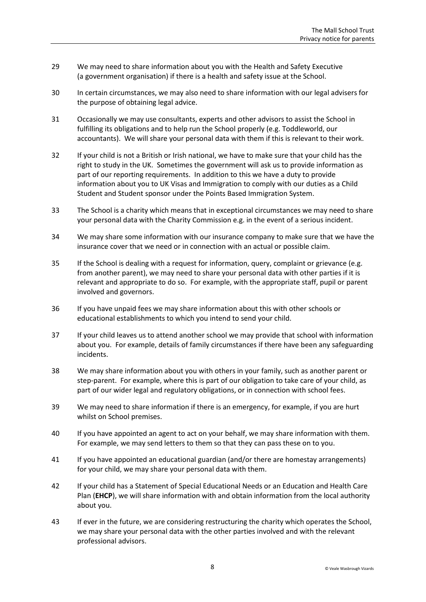- 29 We may need to share information about you with the Health and Safety Executive (a government organisation) if there is a health and safety issue at the School.
- 30 In certain circumstances, we may also need to share information with our legal advisers for the purpose of obtaining legal advice.
- 31 Occasionally we may use consultants, experts and other advisors to assist the School in fulfilling its obligations and to help run the School properly (e.g. Toddleworld, our accountants). We will share your personal data with them if this is relevant to their work.
- 32 If your child is not a British or Irish national, we have to make sure that your child has the right to study in the UK. Sometimes the government will ask us to provide information as part of our reporting requirements. In addition to this we have a duty to provide information about you to UK Visas and Immigration to comply with our duties as a Child Student and Student sponsor under the Points Based Immigration System.
- 33 The School is a charity which means that in exceptional circumstances we may need to share your personal data with the Charity Commission e.g. in the event of a serious incident.
- 34 We may share some information with our insurance company to make sure that we have the insurance cover that we need or in connection with an actual or possible claim.
- 35 If the School is dealing with a request for information, query, complaint or grievance (e.g. from another parent), we may need to share your personal data with other parties if it is relevant and appropriate to do so. For example, with the appropriate staff, pupil or parent involved and governors.
- 36 If you have unpaid fees we may share information about this with other schools or educational establishments to which you intend to send your child.
- 37 If your child leaves us to attend another school we may provide that school with information about you. For example, details of family circumstances if there have been any safeguarding incidents.
- 38 We may share information about you with others in your family, such as another parent or step-parent. For example, where this is part of our obligation to take care of your child, as part of our wider legal and regulatory obligations, or in connection with school fees.
- 39 We may need to share information if there is an emergency, for example, if you are hurt whilst on School premises.
- 40 If you have appointed an agent to act on your behalf, we may share information with them. For example, we may send letters to them so that they can pass these on to you.
- 41 If you have appointed an educational guardian (and/or there are homestay arrangements) for your child, we may share your personal data with them.
- 42 If your child has a Statement of Special Educational Needs or an Education and Health Care Plan (**EHCP**), we will share information with and obtain information from the local authority about you.
- 43 If ever in the future, we are considering restructuring the charity which operates the School, we may share your personal data with the other parties involved and with the relevant professional advisors.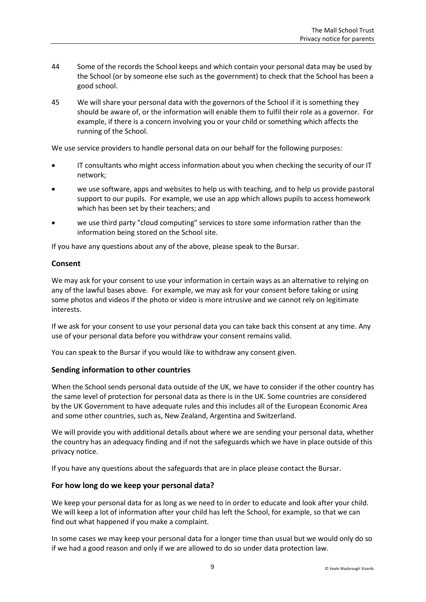- 44 Some of the records the School keeps and which contain your personal data may be used by the School (or by someone else such as the government) to check that the School has been a good school.
- 45 We will share your personal data with the governors of the School if it is something they should be aware of, or the information will enable them to fulfil their role as a governor. For example, if there is a concern involving you or your child or something which affects the running of the School.

We use service providers to handle personal data on our behalf for the following purposes:

- IT consultants who might access information about you when checking the security of our IT network;
- we use software, apps and websites to help us with teaching, and to help us provide pastoral support to our pupils. For example, we use an app which allows pupils to access homework which has been set by their teachers; and
- we use third party "cloud computing" services to store some information rather than the information being stored on the School site.

If you have any questions about any of the above, please speak to the Bursar.

# **Consent**

We may ask for your consent to use your information in certain ways as an alternative to relying on any of the lawful bases above. For example, we may ask for your consent before taking or using some photos and videos if the photo or video is more intrusive and we cannot rely on legitimate interests.

If we ask for your consent to use your personal data you can take back this consent at any time. Any use of your personal data before you withdraw your consent remains valid.

You can speak to the Bursar if you would like to withdraw any consent given.

# **Sending information to other countries**

When the School sends personal data outside of the UK, we have to consider if the other country has the same level of protection for personal data as there is in the UK. Some countries are considered by the UK Government to have adequate rules and this includes all of the European Economic Area and some other countries, such as, New Zealand, Argentina and Switzerland.

We will provide you with additional details about where we are sending your personal data, whether the country has an adequacy finding and if not the safeguards which we have in place outside of this privacy notice.

If you have any questions about the safeguards that are in place please contact the Bursar.

# **For how long do we keep your personal data?**

We keep your personal data for as long as we need to in order to educate and look after your child. We will keep a lot of information after your child has left the School, for example, so that we can find out what happened if you make a complaint.

In some cases we may keep your personal data for a longer time than usual but we would only do so if we had a good reason and only if we are allowed to do so under data protection law.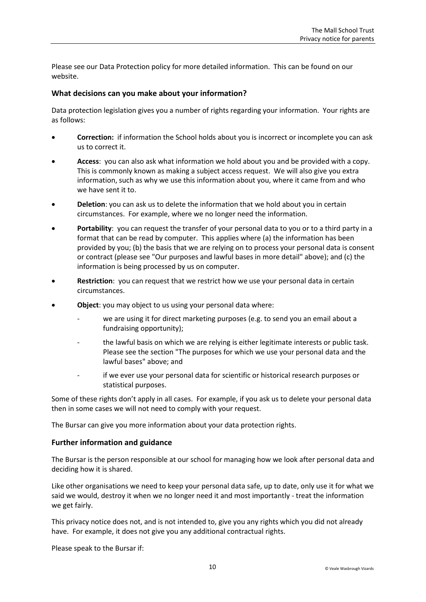Please see our Data Protection policy for more detailed information. This can be found on our website.

## **What decisions can you make about your information?**

Data protection legislation gives you a number of rights regarding your information. Your rights are as follows:

- **Correction:** if information the School holds about you is incorrect or incomplete you can ask us to correct it.
- **Access**: you can also ask what information we hold about you and be provided with a copy. This is commonly known as making a subject access request. We will also give you extra information, such as why we use this information about you, where it came from and who we have sent it to.
- **Deletion**: you can ask us to delete the information that we hold about you in certain circumstances. For example, where we no longer need the information.
- **Portability**: you can request the transfer of your personal data to you or to a third party in a format that can be read by computer. This applies where (a) the information has been provided by you; (b) the basis that we are relying on to process your personal data is consent or contract (please see "Our purposes and lawful bases in more detail" above); and (c) the information is being processed by us on computer.
- **Restriction**: you can request that we restrict how we use your personal data in certain circumstances.
- **Object**: you may object to us using your personal data where:
	- we are using it for direct marketing purposes (e.g. to send you an email about a fundraising opportunity);
	- the lawful basis on which we are relying is either legitimate interests or public task. Please see the section "The purposes for which we use your personal data and the lawful bases" above; and
	- if we ever use your personal data for scientific or historical research purposes or statistical purposes.

Some of these rights don't apply in all cases. For example, if you ask us to delete your personal data then in some cases we will not need to comply with your request.

The Bursar can give you more information about your data protection rights.

#### **Further information and guidance**

The Bursar is the person responsible at our school for managing how we look after personal data and deciding how it is shared.

Like other organisations we need to keep your personal data safe, up to date, only use it for what we said we would, destroy it when we no longer need it and most importantly - treat the information we get fairly.

This privacy notice does not, and is not intended to, give you any rights which you did not already have. For example, it does not give you any additional contractual rights.

Please speak to the Bursar if: